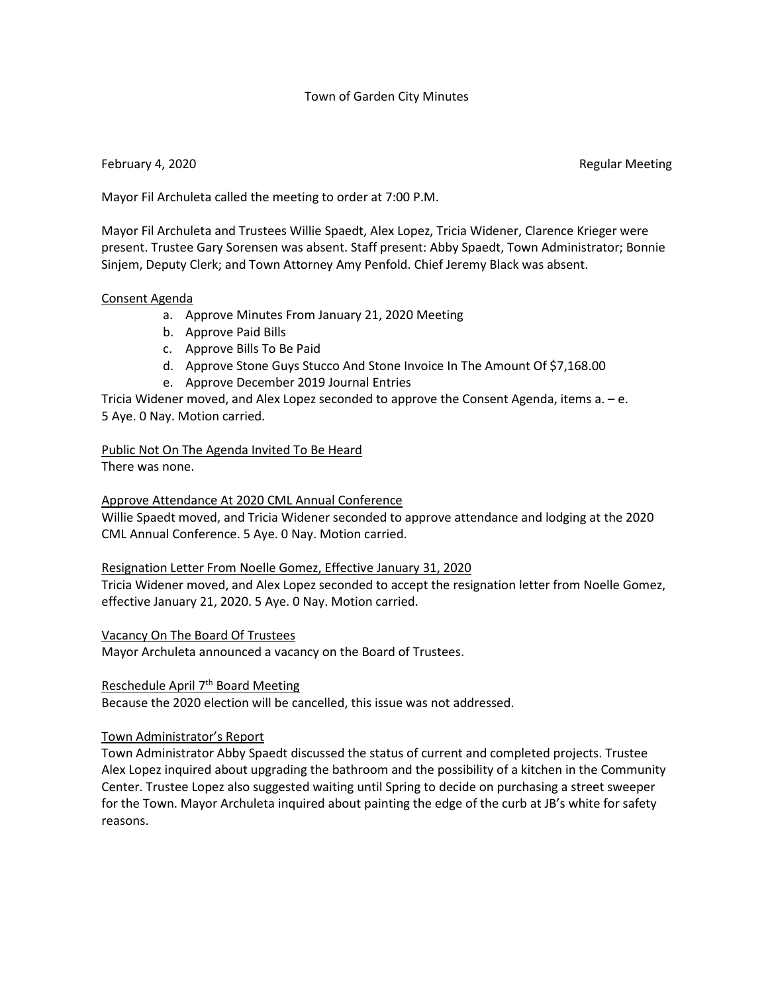# Town of Garden City Minutes

## February 4, 2020 **Regular Meeting** Constanting Meeting Constanting Meeting Regular Meeting

Mayor Fil Archuleta called the meeting to order at 7:00 P.M.

Mayor Fil Archuleta and Trustees Willie Spaedt, Alex Lopez, Tricia Widener, Clarence Krieger were present. Trustee Gary Sorensen was absent. Staff present: Abby Spaedt, Town Administrator; Bonnie Sinjem, Deputy Clerk; and Town Attorney Amy Penfold. Chief Jeremy Black was absent.

### Consent Agenda

- a. Approve Minutes From January 21, 2020 Meeting
- b. Approve Paid Bills
- c. Approve Bills To Be Paid
- d. Approve Stone Guys Stucco And Stone Invoice In The Amount Of \$7,168.00
- e. Approve December 2019 Journal Entries

Tricia Widener moved, and Alex Lopez seconded to approve the Consent Agenda, items a. – e. 5 Aye. 0 Nay. Motion carried.

Public Not On The Agenda Invited To Be Heard There was none.

Approve Attendance At 2020 CML Annual Conference

Willie Spaedt moved, and Tricia Widener seconded to approve attendance and lodging at the 2020 CML Annual Conference. 5 Aye. 0 Nay. Motion carried.

### Resignation Letter From Noelle Gomez, Effective January 31, 2020

Tricia Widener moved, and Alex Lopez seconded to accept the resignation letter from Noelle Gomez, effective January 21, 2020. 5 Aye. 0 Nay. Motion carried.

Vacancy On The Board Of Trustees

Mayor Archuleta announced a vacancy on the Board of Trustees.

Reschedule April 7<sup>th</sup> Board Meeting

Because the 2020 election will be cancelled, this issue was not addressed.

### Town Administrator's Report

Town Administrator Abby Spaedt discussed the status of current and completed projects. Trustee Alex Lopez inquired about upgrading the bathroom and the possibility of a kitchen in the Community Center. Trustee Lopez also suggested waiting until Spring to decide on purchasing a street sweeper for the Town. Mayor Archuleta inquired about painting the edge of the curb at JB's white for safety reasons.